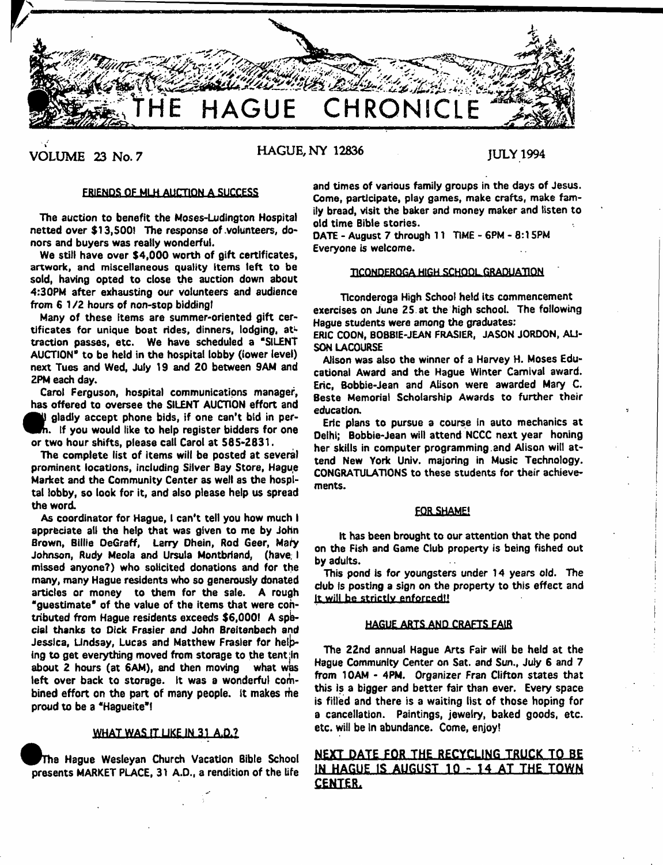

**VOLUME 23 No. 7 HAGUE, NY 12836** JULY 1994

# ERIENDS OF MLH AUCTION A SUCCESS

The auction to benefit the Moses-Ludington Hospital netted over \$13,500! The response of volunteers, donors and buyers was really wonderful.

We still have over \$4,000 worth of gift certificates, artwork, and miscellaneous quality Items left to be sold, having opted to close the auction down about 4:30PM after exhausting our volunteers and audience from 6 1 /2 hours of non-stop biddingt

Many of these items are summer-oriented gift certificates for unique boat rides, dinners, lodging, attraction passes, etc. We have scheduled a "SILENT AUCTION\* to be held in the hospital lobby (lower level) next Tues and Wed, July 19 and 20 between 9AM and 2PM each day.

Carol Ferguson, hospital communications manager, has offered to oversee the SILENT AUCTION effort and

 $\bullet$ <br>or<br> $\bullet$  gladly accept phone bids, if one can't bid in per- . if you would like to help register bidders for one wo hour shifts, please call Carol at 585-2831.

The complete list of items will be posted at several prominent locations, including Silver Bay Store, Hague Market and the Community Center as well as the hospital lobby, so look for it, and also please help us spread the word.

As coordinator for Hague, I can't tell you how much I appreciate alt the help that was given to me by John Brown, Billie OeGraff, Larry Dhein, Rod Geer, Mafy Johnson, Rudy Meoia and Ursula Montbriand, (have. I missed anyone?) who solicited donations and for the many, many Hague residents who so generously donated articles or money to them for the sale. A rough "guestimate\* of the value of the items that were contributed from Hague residents exceeds \$6,000! A special thanks to Dick Frasier and John Breitenbech and Jessica, Lindsay, Lucas and Matthew Frasier for helping to get everything moved from storage to the tentjin about 2 hours (at 6AM), and then moving what was left over back to storage. It was a wonderful combined effort on the part of many people. It makes rhe proud to be a "Haqueite"!

# **WHAT WAS IT LIKE IN 31 A.D.?**

The Hague Wesleyan Church Vacation Bible School presents MARKET PLACE, 31 A.D., a rendition of the Ufe and times of various family groups in the days of Jesus. Come, participate, play games, make crafts, make family bread, visit the baker and money maker and listen to old time Bible stories.

DATE - August 7 through 11 TIME - 6PM - 8:15PM Everyone is welcome.

## TICONDEROGA HIGH SCHOOL GRADUATION

Ticonderoga High School held its commencement exercises on June 25 at the high school. The following Hague students were among the graduates:

ERIC COON, BOBBIE-JEAN FRASIER, JASON JORDON, ALI-SON LACOURSE

Alison was also the winner of a Harvey H. Moses Educational Award and the Hague Winter Carnival award. Eric, Bobbie-Jean and Alison were awarded Mary C. Beste Memorial Scholarship Awards to further their education.

Eric plans to pursue a course in auto mechanics at Delhi; Bobbie-Jean will attend NCCC next year honing her skills in computer programming.and Alison will attend New York Univ. majoring in Music Technology. CONGRATULATIONS to these students for their achievements.

## **FOR SHAME!**

It has been brought to our attention that the pond on the Fish and Game Club property is being fished out by adults.

This pond is for youngsters under 14 years old. The club is posting a sign on the property to this effect and It will be strictly enforced!!

# HAGUE ARTS AND CRAFTS FAIR

The 22nd annual Hague Arts Fair will be held at the Hague Community Center on Sat. and Sun., July 6 and 7 from 10AM - 4PM. Organizer Fran Clifton states that this is a bigger and better fair than ever. Every space is filled and there is a waiting list of those hoping for a cancellation. Paintings, jewelry, baked goods, etc. etc. will be In abundance. Come, enjoy!

# **NEXT DATE FOR THE RECYCLING TRUCK TO BE** IN HAGUE IS AUGUST 10 - 14 AT THE TOWN **CENTER.**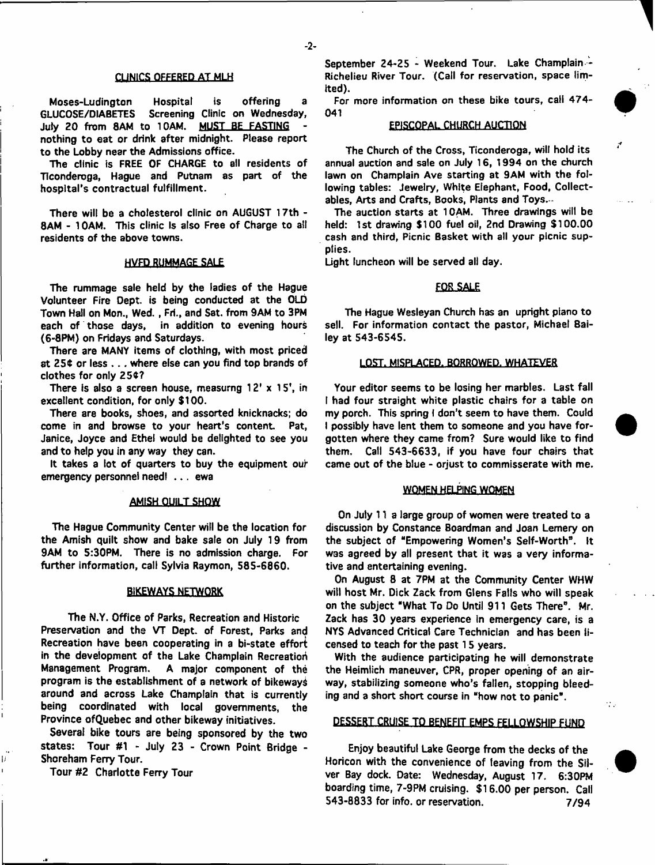## CLINICS OFFERED AT MLH

Moses-Ludington Hospital is offering a GLUCOSE/DIABETES Screening Clinic on Wednesday, July 20 from 8AM to 10AM. MUST BE FASTING nothing to eat or drink after midnight. Please report to the Lobby near the Admissions office.

The clinic is FREE OF CHARGE to all residents of Hconderoga, Hague and Putnam as part of the hospital's contractual fulfillment.

There will be a cholesterol clinic on AUGUST 17th - SAM - 10AM. This clinic Is also Free of Charge to ail residents of the above towns.

## HVFD RUMMAGE SAL£

The rummage sale held by the ladies of the Hague Volunteer Fire Dept, is being conducted at the OLD Town Hall on Mon., Wed. , Fri., and Sat. from 9AM to 3PM each of those days, in addition to evening hours (6-8PM) on Fridays and Saturdays.

There are MANY items of clothing, with most priced at 25\$ or less . . . where else can you find top brands of clothes for only 25\$?

There is also a screen house, measurng 12' x 15', in excellent condition, for only \$100.

There are books, shoes, and assorted knicknacks; do come in and browse to your heart's content. Pat, Janice, Joyce and Ethel would be delighted to see you and to help you in any way they can.

It takes a lot of quarters to buy the equipment our emergency personnel need! . . . ewa

## AMISH QUILT SHOW

The Hague Community Center will be the location for the Amish quilt show and bake sale on July 19 from 9AM to 5:30PM. There is no admission charge. For further information, call Sylvia Raymon, 585-6860.

## BiKEWAYS NETWORK

The N.Y. Office of Parks, Recreation and Historic Preservation and the VT Dept, of Forest, Parks and Recreation have been cooperating in a bi-state effort in the development of the Lake Champlain Recreatioh Management Program. A major component of the program is the establishment of a network of bikeways around and across Lake Champlain that is currently being coordinated with local governments, the Province ofQuebec and other bikeway initiatives.

Several bike tours are being sponsored by the two states: Tour #1 - July 23 - Crown Point Bridge - Shoreham Ferry Tour.

Tour #2 Charlotte Ferry Tour

Ħ

September 24-25 - Weekend Tour. Lake Champlain -Richelieu River Tour. (Call for reservation, space limited).

For more information on these bike tours, call 474- 041

# **EPISCOPAL CHURCH AUCTION**

The Church of the Cross, Ticonderoga, will hold its annual auction and sale on July 16, 1994 on the church lawn on Champlain Ave starting at 9AM with the following tables: Jewelry, White Eiephant, Food, Collectables, Arts and Crafts, Books, Plants and Toys. -

The auction starts at 10AM. Three drawings will be held: 1st drawing \$100 fuel oil, 2nd Drawing \$100.00 cash and third, Picnic Basket with all your picnic supplies.

Light luncheon will be served all day.

# **FOR SALE**

The Hague Wesleyan Church has an upright piano to sell. For information contact the pastor, Michael Bailey at 543-6545.

## LOST. MISPLACED. BORROWED. WHATEVER

Your editor seems to be losing her marbles. Last fall I had four straight white plastic chairs for a table on my porch. This spring ( don't seem to have them. Could I possibly have lent them to someone and you have forgotten where they came from? Sure would like to find them. Call 543-6633, if you have four chairs that came out of the blue - orjust to commisserate with me.

# **WOMEN HELPING WOMEN**

On July 11 a large group of women were treated to a discussion by Constance Boardman and Joan Lemery on the subject of "Empowering Women's Self-Worth". It was agreed by all present that it was a very informative and entertaining evening.

On August 8 at 7PM at the Community Center WHW will host Mr. Dick Zack from Glens Falls who will speak on the subject "What To Do Until 911 Gets There". Mr. Zack has 30 years experience in emergency care, is a NYS Advanced Critical Care Technician and has been licensed to teach for the past 15 years.

With the audience participating he will demonstrate the Heimlich maneuver, CPR, proper opening of an airway, stabilizing someone who's fallen, stopping bleeding and a short short course in "how not to panic" .

 $\sim$   $\sim$ 

# DESSERT CRUISE TO BENEFIT EMPS FELLOWSHIP FUND

Enjoy beautiful Lake George from the decks of the Horicon with the convenience of leaving from the Silver Bay dock. Date: Wednesday, August 17. 6:30PM boarding time, 7-9PM cruising. \$16.00 per person. Call 543-8833 for info, or reservation. 7/94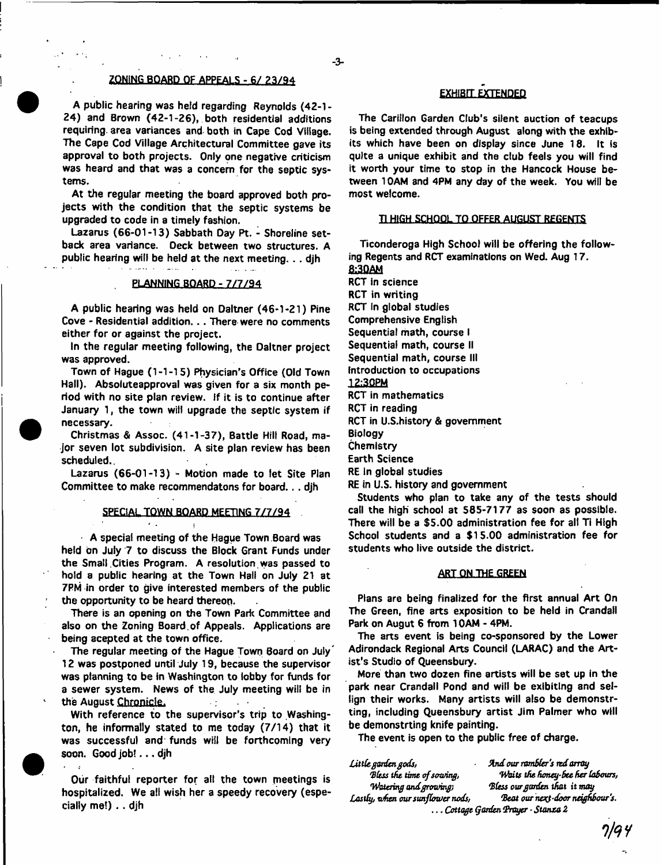# ZONING-BOARD OF APPEALS - 6/ 23/94

A public hearing was held regarding Reynolds (42-1- 24) and Brown (42-1-26), both residential additions requiring, area variances and both in Cape Cod Village. The Cape Cod Village Architectural Committee gave its approval to both projects. Only one negative criticism was heard and that was a concern for the septic systems.

At the regular meeting the board approved both projects with the condition that the septic systems be upgraded to code in a timely fashion.

Lazarus (66-01-13) Sabbath Day Pt. - Shoreline setback area variance. Deck between two structures. A public hearing will be held at the next meeting. . . djh

# PLANNING BOARD - 7/7/94

A public hearing was held on Daltner (46-1-21) Pine Cove - Residential addition.. . There were no comments either for or against the project.

In the regular meeting following, the Oaltner project was approved.

Town of Hague (1-1-15) Physician's Office (Old Town Hall). Absolute approval was given for a six month period with no site plan review. If it is to continue after January 1, the town will upgrade the septic system if necessary.

Christmas & Assoc. (41-1-37), Battle Hill Road, major seven lot subdivision. A site plan review has been scheduled..

Lazarus (66-01-13) - Motion made to let Site Plan Committee to make recommendatons for board... djh

SPECIAL TOWN BOARD MEETING 7/7/94

 $\mathbf{r}$ 

 $\mathbf{r}$ 

A special meeting of the Hague Town Board was held bn July 7 to discuss the Block Grant Funds under the Small Cities Program. A resolution was passed to hold a public hearing at the Town Hall on July 21 at 7PM in order to give interested members of the public the opportunity to be heard thereon.

There is an opening on the Town Park Committee and also on the Zoning Board.of Appeals. Applications are being acepted at the town office.

The regular meeting of the Hague Town Board on July" 12 was postponed until July 19, because the supervisor was planning to be in Washington to lobby for funds for a sewer system. News of the July meeting will be in the August **Chronicle.**  $\sim$  1

With reference to the supervisor's trip to Washington, he informally stated to me today (7/14) that it was successful and funds will be forthcoming very soon. Good job! . . . djh

Our faithful reporter for all the town meetings is hospitalized. We all wish her a speedy recovery (especially me!) . . djh

# EXHIBIT EXTENDED

The Carillon Garden Club's silent auction of teacups is being extended through August along with the exhibits which have been on display since June 18. It is quite a unique exhibit and the club feels you will find it worth your time to stop in the Hancock House between 10AM and 4PM any day of the week. You will be most welcome.

#### T1 HIGH SCHOOL TQ OFFER AUGUST REGENTS

Ticonderoga High School will be offering the following Regents and RCT examinations on Wed. Aug 17. **&3QAM**

RCT in science **RCT in writing** RCT In global studies Comprehensive English Sequential math, course I Sequential math, course II Sequential math, course III Introduction to occupations 12;30PM RCT in mathematics RCT in reading RCT in U.S.history & government Biology Chemistry Earth Science RE In global studies RE in U.S. history and government

Students who plan to take any of the tests should call the high school at 585-7177 as soon as possible. There will be a \$5.00 administration fee for all Ti High School students and a \$15.00 administration fee for students who live outside the district.

# ART QN\_TH£\_GREEN

Plans are being finalized for the first annual Art On The Green, fine arts exposition to be held in Crandall Park on Augut 6 from 10AM - 4PM.

The arts event is being co-sponsored by the Lower Adirondack Regional Arts Council (LARAC) and the Artist's Studio of Queensbury.

More than two dozen fine artists will be set up in the park near Crandall Pond and will be exibittng and seliign their works. Many artists will also be demonstrting, including Queensbury artist Jim Palmer who will be demonstrting knife painting.

The event is open to the public free of charge.

*LittU garden gods, Und our rambler's ird array \*B(ts\$ the. time of sawing, Waits tfte fumey-Bce Her labours, Watering and growing', Bless our garden that it mag Lastly, wfien our sunflower nods, 'Beat our ne^-door neighbour's.* **...** *Cottage garden Braycr • Stanza Z*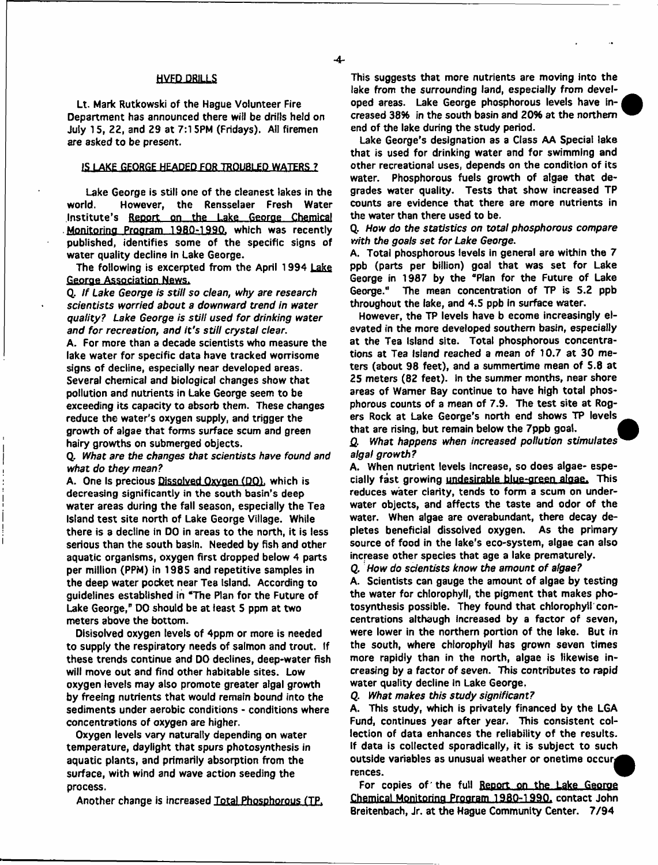## HVFD-DBJILLS

Lt. Mark Rutkowski of the Hague Volunteer Fire Department has announced there will be drills held on July 15, 22, and 29 at 7:15PM (Fridays). All firemen are asked to be present.

## IS LAKE GEORGE HEADED FOR TROUBLED WATERS ?

Lake George is still one of the cleanest lakes in the world. However, the Rensselaer Fresh Water Institute's Report on the Lake George Chemical Monitoring Program 19BQ-199Q. which was recently published, identifies some of the specific signs of water quality decline in Lake George.

The following is excerpted from the April 1994 Lake George Association News.

Q. *If Lake George is still so dean, why are research scientists worried about a downward trend in water quality? Lake George is s till used for drinking water and for recreation, and it's still crystal clear.*

A. For more than a decade scientists who measure the lake water for specific data have tracked worrisome signs of decline, especially near developed areas. Several chemical and biological changes show that pollution and nutrients in Lake George seem to be exceeding its capacity to absorb them. These changes reduce the water's oxygen supply, and trigger the growth of algae that forms surface scum and green hairy growths on submerged objects.

Q. *What are the changes that scientists have found and what do they mean?*

A. One Is precious Dissolved Oxygen (DO), which is decreasing significantly in the south basin's deep water areas during the fail season, especially the Tea Island test site north of Lake George Village. While there is a decline in DO in areas to the north, it is less serious than the south basin. Needed by fish and other aquatic organisms, oxygen first dropped below 4 parts per million (PPM) in 1985 and repetitive samples in the deep water pocket near Tea Island. According to guidelines established in "The Plan for the Future of Lake George," DO should be at least 5 ppm at two meters above the bottom.

Dlsisolved oxygen levels of 4ppm or more is needed to supply the respiratory needs of salmon and trout. If these trends continue and DO declines, deep-water fish will move out and find other habitable sites. Low oxygen levels may also promote greater algal growth by freeing nutrients that would remain bound into the sediments under aerobic conditions - conditions where concentrations of oxygen are higher.

Oxygen levels vary naturally depending on water temperature, daylight that spurs photosynthesis in aquatic plants, and primarily absorption from the surface, with wind and wave action seeding the process.

Another change is increased Total Phosphorous (TP.

This suggests that more nutrients are moving into the lake from the surrounding land, especially from developed areas. Lake George phosphorous levels have increased 38% in the south basin and 20% at the northern end of the lake during the study period.

Lake George's designation as a Class AA Special lake that is used for drinking water and for swimming and other recreational uses, depends on the condition of its water. Phosphorous fuels growth of algae that degrades water quality. Tests that show increased TP counts are evidence that there are more nutrients in the water than there used to be.

Q. *How do the statistics on total phosphorous compare with the goals set for Lake George.*

A. Total phosphorous levels in general are within the 7 ppb (parts per billion) goal that was set for Lake George in 1987 by the "Plan for the Future of Lake George." The mean concentration of TP is S.2 ppb throughout the lake, and 4.5 ppb In surface water.

However, the TP levels have b ecome increasingly elevated in the more developed southern basin, especially at the Tea Island site. Total phosphorous concentrations at Tea Island reached a mean of 10.7 at 30 meters (about 98 feet), and a summertime mean of 5.8 at 25 meters (82 feet), in the summer months, near shore areas of Warner Bay continue to have high total phosphorous counts of a mean of 7.9. The test site at Rogers Rock at Lake George's north end shows TP levels that are rising, but remain below the 7ppb goal.

£. What *happens when increased pollution stimulates' algal growth?*

A. When nutrient levels Increase, so does algae- especially fast growing undesirable blue-green algae. This reduces water clarity, tends to form a scum on underwater objects, and affects the taste and odor of the water. When algae are overabundant, there decay depletes beneficial dissolved oxygen. As the primary source of food in the lake's eco-system, algae can also increase other species that age a lake prematurely.

Q. How do scientists know the amount of algae?

A. Scientists can gauge the amount of algae by testing the water for chlorophyll, the pigment that makes photosynthesis possible. They found that chlorophyll concentrations although increased by a factor of seven, were lower in the northern portion of the lake. But in the south, where chlorophyll has grown seven times more rapidly than in the north, algae is likewise increasing by a factor of seven. This contributes to rapid water quality decline in Lake George.

Q. *What makes this study significant?*

A. This study, which is privately financed by the LGA Fund, continues year after year. This consistent collection of data enhances the reliability of the results. If data is collected sporadically, it is subject to such outside variables as unusual weather or onetime occur, rences.

For copies of the full Report on the Lake George Chemical Monitoring Program 19B0-1990. contact John Breitenbach, Jr. at the Hague Community Center. 7/94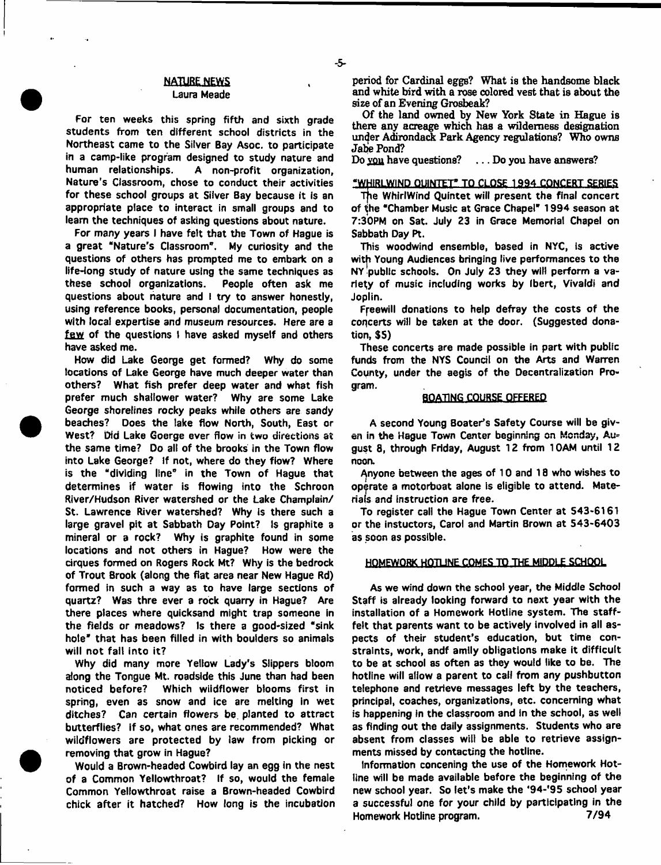## **NATURE NEWS** Laura Meade

For ten weeks this spring fifth and sixth grade students from ten different school districts in the Northeast came to the Silver Bay Asoc. to participate in a camp-like program designed to study nature and<br>human relationships. A non-profit organization. A non-profit organization, Nature's Classroom, chose to conduct their activities for these school groups at Silver Bay because it is an appropriate place to interact in small groups and to learn the techniques of asking questions about nature.

For many years I have felt that the Town of Hague is a great "Nature's Classroom". My curiosity and the questions of others has prompted me to embark on a life-long study of nature using the same techniques as these school organizations. People often ask me questions about nature and I try to answer honestly, using reference books, personal documentation, people with local expertise and museum resources. Here are a few of the questions I have asked myself and others have asked me.

How did Lake George get formed? Why do some locations of Lake George have much deeper water than others? What fish prefer deep water and what fish prefer much shallower water? Why are some Lake George shorelines rocky peaks while others are sandy beaches? Does the lake flow North, South, East or West? Did Lake Goerge ever flow in two directions at the same time? Do alt of the brooks in the Town flow into Lake George? If not, where do they flow? Where is the "dividing line" in the Town of Hague that determines if water is flowing into the Schroon River/Hudson River watershed or the Lake Champlain/ St. Lawrence River watershed? Why is there such a large gravel pit at Sabbath Day Point? Is graphite a mineral or a rock? Why is graphite found in some locations and not others in Hague? How were the cirques formed on Rogers Rock Mt? Why is the bedrock of Trout Brook (along the flat area near New Hague Rd) formed in such a way as to have large sections of quartz? Was thre ever a rock quarry in Hague? Are there places where quicksand might trap someone in the fields or meadows? Is there a good-sized "sink hole" that has been filled in with boulders so animals will not fall into it?

Why did many more Yellow Lady's Slippers bloom along the Tongue Mt. roadside this June than had been noticed before? Which wiidflower blooms first in spring, even as snow and ice are melting in wet ditches? Can certain flowers be. planted to attract butterflies? if so, what ones are recommended? What wildflowers are protected by law from picking or removing that grow in Hague?

Would a Brown-headed Cowbird lay an egg in the nest of a Common Yellowthroat? If so, would the female Common Yellowthroat raise a Brown-headed Cowbird chick after it hatched? How long is the incubation period for Cardinal eggs? What is the handsome black and white bird with a rose colored vest that is about the size of an Evening Grosbeak?

Of the land owned by New York State in Hague is there any acreage which has a wilderness designation under Adirondack Park Agency regulations? Who owns Jabe Pond?

Do vou have questions? ... Do you have answers?

# **"WHIRLWIND, QUINTET". TQ CLOSE 139.4-CQNCEftT SEBIES**

The WhirlWind Quintet will present the final concert of the "Chamber Music at Grace Chapel" 1994 season at 7:30PM on Sat. July 23 in Grace Memorial Chapel on Sabbath Day Pt.

This woodwind ensemble, based in NYC, is active with Young Audiences bringing live performances to the NY public schools. On July 23 they will perform a variety of music including works by Ibert, Vivaldi and Joplin.

Freewill donations to help defray the costs of the concerts will be taken at the door. (Suggested donation, \$5)

These concerts are made possible in part with public funds from the NYS Council on the Arts and Warren County, under the aegis of the Decentralization Program.

### BOATING COURSE OFFERED

A second Young Boater's Safety Course will be given in the Hague Town Center beginning on Monday, August B, through Friday, August 12 from 10AM until 12 noon.

Anyone between the ages of 10 and 18 who wishes to operate a motorboat alone is eligible to attend. Materials and Instruction are free.

To register call the Hague Town Center at 543\*6161 or the instuctors, Carol and Martin Brown at 543-6403 as soon as possible.

## HOMEWORK HQTUNE COMES TO THE MIDDLE SCHOOL

As we wind down the school year, the Middle School Staff is already looking forward to next year with the installation of a Homework Hotline system. The stafffelt that parents want to be actively involved in all aspects of their student's education, but time constraints, work, andf amily obligations make it difficult to be at school as often as they would like to be. The hotline will allow a parent to calf from any pushbutton telephone and retrieve messages left by the teachers, principal, coaches, organizations, etc. concerning what is happening in the classroom and in the school, as well as finding out the daily assignments. Students who are absent from classes wilt be able to retrieve assignments missed by contacting the hotline.

Information concening the use of the Homework Hotline will be made available before the beginning of the new school year. So let's make the '94-'95 school year a successful one for your child by participating in the Homework Hotline program. 7/94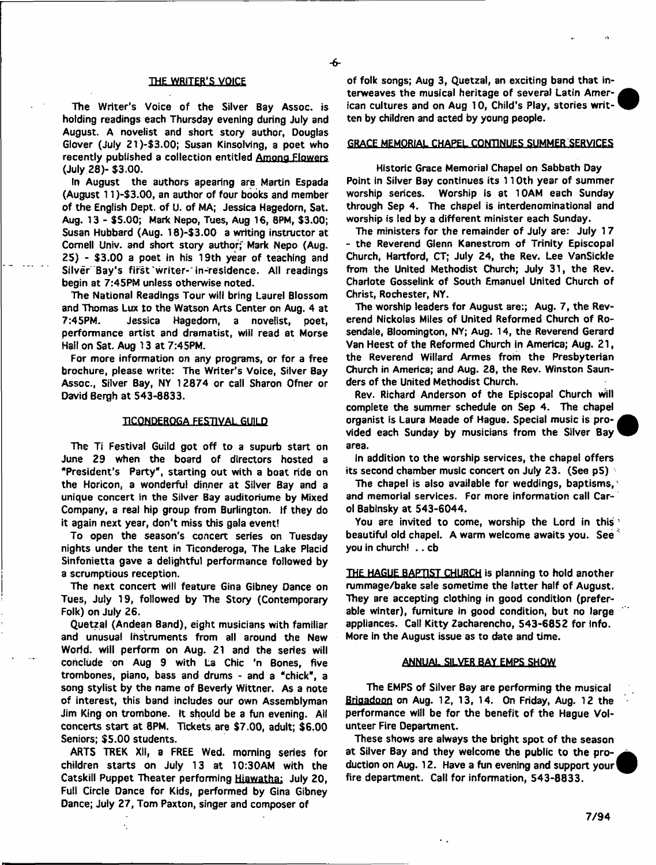## THE WRITER'S VOICE

The Writer's Voice of the Silver Bay Assoc, is holding readings each Thursday evening during July and August. A novelist and short story author, Douglas Glover (July 21)-\$3.00; Susan Kinsolving, a poet who recently published a collection entitled Among Flowers (July 28)- \$3.00.

In August the authors apearing are Martin Espada (August 11 )-\$3.00, an author of four books and member of the English Dept, of U. of MA; Jessica Hagedorn, Sat. Aug. 13 - \$5.00; Mark Nepo, Tues, Aug 16, 8PM, \$3.00; Susan Hubbard (Aug. 18)-\$3.00 a writing instructor at Cornell Univ. and short story author;' Mark Nepo (Aug. 25) - \$3.00 a poet in his 19th year of teaching and Silver Bay's first writer-'in-residence. All readings begin at 7:45PM unless otherwise noted.

The National Readings Tour will bring Laurel Blossom and Thomas Lux to the Watson Arts Center on Aug. 4 at 7:45PM. Jessica Hagedorn, a novelist, poet, performance artist and dramatist, wiif read at Morse Hall on Sat. Aug 13 at 7:45PM.

For more information on any programs, or for a free brochure, please write: The Writer's Voice, Silver Bay Assoc., Silver Bay, NY 12874 or call Sharon Ofner or David Bergh at 543-8833.

## **TICONDEROGA FESTIVAL GUILD**

The Ti Festival Guild got off to a supurb start on June 29 when the board of directors hosted a "President's Party", starting out with a boat ride on the Horicon, a wonderful dinner at Silver Bay and a unique concert in the Silver Bay auditoriume by Mixed Company, a real hip group from Burlington. If they do it again next year, don't miss this gala event!

To open the season's concert series on Tuesday nights under the tent in Ticonderoga, The Lake Placid Sinfonietta gave a delightful performance followed by a scrumptious reception.

The next concert will feature Gina Gibney Dance on Tues, July 19, followed by The Story (Contemporary Folk) on July 26.

Quetzal (Andean Band), eight musicians with familiar and unusual Instruments from all around the New World, will perform on Aug. 21 and the series will conclude on Aug 9 with La Chic 'n Bones, five trombones, piano, bass and drums - and a "chick", a song stylist by the name of Beverly Wittner. As a note of interest, this band includes our own Assemblyman Jim King on trombone. It should be a fun evening. All concerts start at 8PM. Tickets are \$7.00, adult; \$6.00 Seniors; \$5.00 students.

ARTS TREK XII, a FREE Wed. morning series for children starts on July 13 at 10:30AM with the Catskill Puppet Theater performing Hiawatha; July 20, Full Circle Dance for Kids, performed by Gina Gibney Dance; July 27, Tom Paxton, singer and composer of

of folk songs; Aug 3, Quetzal, an exciting band that interweaves the musical heritage of several Latin American cultures and on Aug 10, Child's Play, stories written by children and acted by young people.

# GRACE MEMORIAL CHAPEL CONTINUES SUMMER SERVICES

Historic Grace Memorial Chapel on Sabbath Day Point in Silver Bay continues its 110th year of summer worship serices. Worship is at 10AM each Sunday through Sep 4. The chapel is interdenominational and worship is led by a different minister each Sunday.

The ministers for the remainder of July are: July 17 - the Reverend Glenn Kanestrom of Trinity Episcopal Church, Hartford, CT; July 24, the Rev. Lee VanSickle from the United Methodist Church; July 31, the Rev. Charlote Gosselink of South Emanuel United Church of Christ, Rochester, NY,

The worship leaders for August are:; Aug. 7, the Reverend Nickoias Miles of United Reformed Church of Rosendale, Bloomington, NY; Aug. 14, the Reverend Gerard Van Heest of the Reformed Church in America; Aug. 21, the Reverend Willard Armes from the Presbyterian Church in America; and Aug. 28, the Rev. Winston Saunders of the United Methodist Church.

Rev. Richard Anderson of the Episcopal Church will complete the summer schedule on Sep 4. The chapel organist is Laura Meade of Hague. Special music is provided each Sunday by musicians from the Silver Bay area.

In addition to the worship services, the chapel offers its second chamber music concert on July 23. (See p5)

The chapel is also available for weddings, baptisms, and memorial services. For more information call Carol Babinsky at 543-6044.

You are invited to come, worship the Lord in this beautiful old chapel. A warm welcome awaits you. See<sup>3</sup> you in church! .. cb

THE HAGUE BAPTIST CHURCH is planning to hold another rummage/bake sale sometime the latter half of August. They are accepting clothing in good condition (preferable winter), furniture in good condition, but no large appliances. Call Kitty Zacharencho, 543-6852 for info. More in the August issue as to date and time.

## ANNUAL SILVER BAY EMPS SHOW

The EMPS of Silver Bay are performing the musical Brigadoon on Aug. 12, 13, 14. On Friday, Aug. 12 the performance will be for the benefit of the Hague Volunteer Fire Department.

These shows are always the bright spot of the season at Silver Bay and they welcome the public to the production on Aug. 12. Have a fun evening and support your fire department. Call for information, 543-8833.

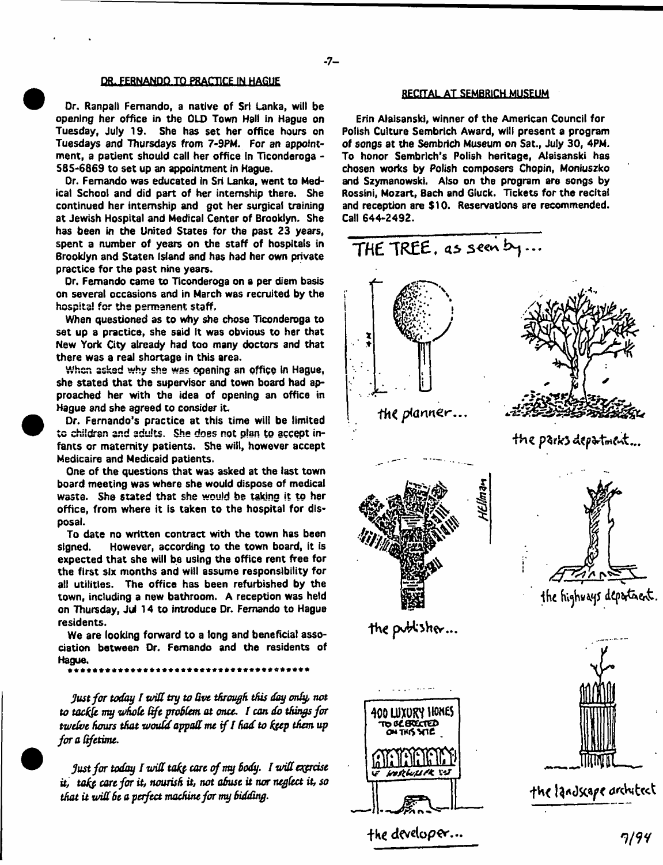# DR. FERNANDO TO PRACTICE IN HAGUE

Or. Ranpall Fernando, a native of Sri Lanka, wilt be opening her office in the OLD Town Hall in Hague on Tuesday, July 19. She has set her office hours on Tuesdays and Thursdays from 7-9PM. For an appointment, a patient should call her office in Ticonderoga -585-6869 to set up an appointment in Hague.

Or. Fernando was educated in Sri Lanka, went to Medical School and did part of her internship there. She continued her internship and got her surgical training at Jewish Hospital and Medical Center of Brooklyn. She has been in the United States for the past 23 years, spent a number of years on the staff of hospitals in Brooklyn and Staten Island and has had her own private practice for the past nine years.

Dr. Fernando came to Ticonderoga on a per diem basis on several occasions and in March was recruited by the hospital for the permanent staff.

When questioned as to why she chose Ticonderoga to set up a practice, she said It was obvious to her that New York City already had too many doctors and that there was a real shortage in this area.

When asked why she was opening an office In Hague, she stated that the supervisor and town board had approached her with the idea of opening an office in Hague and she agreed to consider it.

Dr. Fernando's practice at this time will be limited to children and adults. She does not plan to accept infants or maternity patients. She will, however accept Medicaire and Medicaid patients.

One of the questions that was asked at the last town board meeting was where she would dispose of medical waste. She stated that she would be taking it to her office, from where it is taken to the hospital for disposal.

To date no written contract with the town has been signed. However, according to the town board, It Is expected that she will be using the office rent free for the first six months and will assume responsibility for all utilities. The office has been refurbished by the town, including a new bathroom. A reception was held on Thursday, Jul 14 to introduce Dr. Fernando to Hague residents.

We are looking forward to a long and beneficial association between Dr. Fernando and the residents of Hague.

\*\*\*\*\*\*\*\*\*\*\*\*\*\*\*\*\*\*\*\*\*\*\*\*\*\*\*\*\*\*\*\*

**Just** *for today I wilt try to Uve through this day only, not to tachfe my whole Oft problem at once. f can do things for twelve hours that would appall me if I had to hfep them up for a lifetime.*

*just for today lurid tafo core cf my Body. I will expose it, tak& care for it, nourish it, not ohust it nor neglect it, so that it will Be a perfect machine for my Bidding.*

# RECITAL AT SEMBRICH MUSEUM

Erin Alaisanski, winner of the American Council for Polish Culture Sembrich Award, will present a program of songs at the Sembrich Museum on Sat., July 30, 4PM. To honor Sembrlch's Polish heritage, Alaisanski has chosen works by Polish composers Chopin, Moniuszko and Szymanowski. Also on the program are songs by Rossini, Mozart, Bach and Gluck. Tickets for the recital and reception are \$10. Reservations are recommended. Call 644-2492.



7/94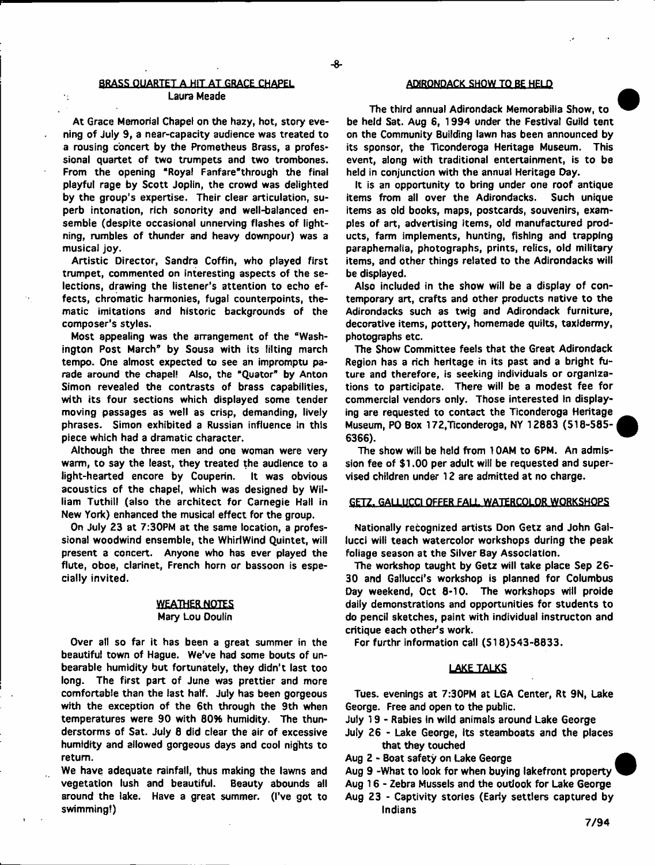# **BRASS QUARTET A HIT AT GRACE CHAPEL <b>ADIRONDACK SHOW TO BE HELD** Laura Meade

 $\cdot$  .

At Grace Memorial Chapel on the hazy, hot, story evening of July 9, a near-capacity audience was treated to a rousing concert by the Prometheus Brass, a professional quartet of two trumpets and two trombones. From the opening "Royal Fanfare" through the final playful rage by Scott Joplin, the crowd was delighted by the group's expertise. Their clear articulation, superb intonation, rich sonority and well-balanced ensemble (despite occasional unnerving flashes of lightning, rumbles of thunder and heavy downpour) was a musical joy.

Artistic Director, Sandra Coffin, who played first trumpet, commented on interesting aspects of the selections, drawing the listener's attention to echo effects, chromatic harmonies, fugal counterpoints, thematic imitations and historic backgrounds of the composer's styles.

Most appealing was the arrangement of the "Washington Post March<sup> $p$ </sup> by Sousa with its lilting march tempo. One almost expected to see an impromptu parade around the chapel! Also, the "Quator" by Anton Simon revealed the contrasts of brass capabilities, with its four sections which displayed some tender moving passages as well as crisp, demanding, lively phrases. Simon exhibited a Russian influence in this piece which had a dramatic character.

Although the three men and one woman were very warm, to say the least, they treated the audience to a light-hearted encore by Couperin. It was obvious acoustics of the chapel, which was designed by William Tuthill (also the architect for Carnegie Hall in New York) enhanced the musical effect for the group.

On July 23 at 7:30PM at the same location, a professional woodwind ensemble, the Whirlwind Quintet, will present a concert. Anyone who has ever played the flute, oboe, clarinet, French horn or bassoon is especially invited.

# **WEATHER NOTES** Mary Lou Doulin

Over all so far it has been a great summer in the beautiful town of Hague. We've had some bouts of unbearable humidity but fortunately, they didn't last too long. The first part of June was prettier and more comfortable than the last half. July has been gorgeous with the exception of the 6th through the 9th when temperatures were 90 with 00% humidity. The thunderstorms of Sat. July 8 did clear the air of excessive humidity and allowed gorgeous days and cool nights to return.

We have adequate rainfall, thus making the lawns and vegetation lush and beautiful. Beauty abounds all around the lake. Have a great summer. (I've got to swimming!)

The third annual Adirondack Memorabilia Show, to be held Sat. Aug 6, 1994 under the Festival Guild tent on the Community Building lawn has been announced by its sponsor, the Ticonderoga Heritage Museum. This event, along with traditional entertainment, is to be held in conjunction with the annual Heritage Day.

It is an opportunity to bring under one roof antique items from all over the Adirondacks. Such unique items as old books, maps, postcards, souvenirs, examples of art, advertising items, old manufactured products, farm implements, hunting, fishing and trapping paraphernalia, photographs, prints, relics, old military items, and other things related to the Adirondacks will be displayed.

Also included in the show will be a display of contemporary art, crafts and other products native to the Adirondacks such as twig and Adirondack furniture, decorative items, pottery, homemade quilts, taxidermy, photographs etc.

The Show Committee feels that the Great Adirondack Region has a rich heritage in its past and a bright future and therefore, is seeking individuals or organizations to participate. There will be a modest fee for commercial vendors only. Those interested In displaying are requested to contact the Ticonderoga Heritage Museum, PO Box 172,Ticonderoga, NY 12883 (518-585- 6366).

The show will be held from 10AM to 6PM. An admission fee of \$1.00 per adult will be requested and supervised children under 12 are admitted at no charge.

# GETZ. GALLUCCI OFFER FALL WATERCOLOR WORKSHOPS

Nationally recognized artists Don Getz and John Gatlucci will teach watercolor workshops during the peak foliage season at the Silver Bay Association.

The workshop taught by Getz will take place Sep 26- 30 and Gallucci's workshop is planned for Columbus Day weekend, Oct 8-10. The workshops will proide daily demonstrations and opportunities for students to do pencil sketches, paint with individual instructon and critique each other's work.

For furthr information call (518)543-6833.

## LAKE TALKS

Tues. evenings at 7:30PM at LGA Center, Rt 9N, Lake George. Free and open to the public.

- July 19 Rabies in wild animals around Lake George
- July 26 Lake George, Its steamboats and the places that they touched
- Aug 2 Boat safety on Lake George
- Aug 9 -What to look for when buying lakefront property
- Aug 16 Zebra Mussels and the outlook for Lake George
- Aug 23 Captivity stories (Eariy settlers captured by Indians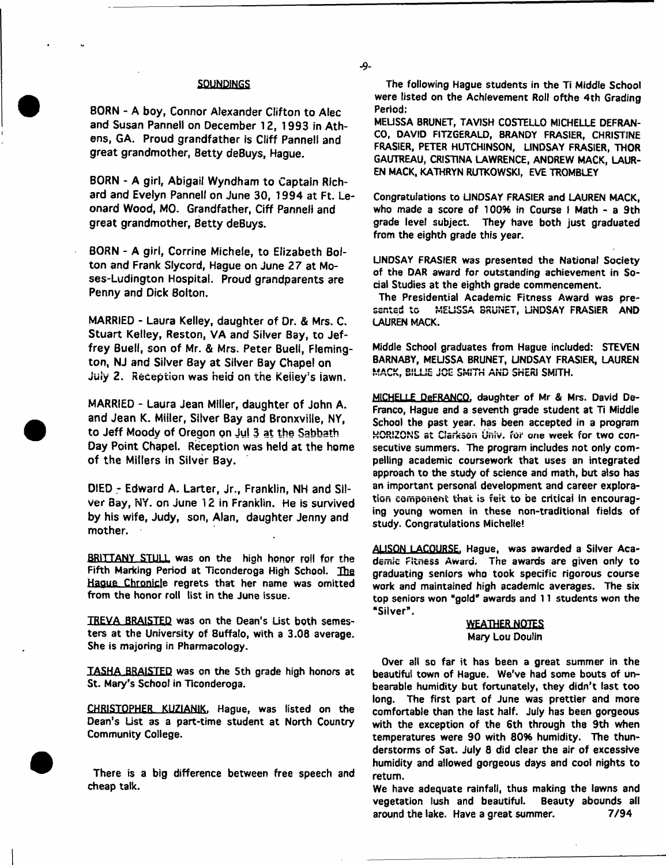## **SOUNDINGS**

**BORN - A boy, Connor Alexander Clifton to Alec and Susan Pannell on December 12, 1993 in Athens, GA. Proud grandfather is Cliff Pannell and great grandmother, Betty deBuys, Hague.**

**BORN - A girl, Abigail Wyndham to Captain Richard and Evelyn Pannell on June 30, 1994 at Ft. Leonard Wood, MO. Grandfather, Ciff Pannell and great grandmother, Betty deBuys.**

**BORN - A girl, Corrine Michele, to Elizabeth Bolton and Frank Slycord, Hague on June 27 at Moses-Ludington Hospital. Proud grandparents are Penny and Dick Bolton.**

**MARRIED - Laura Kelley, daughter of Dr.** *&* **Mrs, C. Stuart Kelley, Reston, VA and Silver Bay, to Jeffrey Buell, son of Mr. & Mrs. Peter Buell, Flemington, NJ and Silver Bay at Silver Bay Chapel on July 2. Reception was heid on the Keiiey's iawn.**

**MARRIED - Laura Jean Miller, daughter of John A. and Jean K. Miller, Silver Bay and Bronxville, NY, to Jeff Moody of Oregon on Ju| 3 at the Sabbath Day Point Chapel. Reception was held at the home of the Millers in Silver Bay.**

**DIED - Edward A. Larter, Jr., Franklin, NH and Silver Bay, NY. on June 12 in Franklin. He is survived by his wife, Judy, son, Alan, daughter Jenny and mother.**

BRITTANY STULL was on the high honor roll for the Fifth Marking Period at Ticonderoga High School. The Haoue Chronicle regrets that her name was omitted from the honor roll list in the June issue.

TREVA BRAISTED was on the Dean's List both semesters at the University of 8uffalo, with a 3.08 average. She is majoring in Pharmacology.

TASHA BRAISTED was on the 5th grade high honors at St. Mary's School in Ticonderoga.

CHRISTOPHER KUZIANIK. Hague, was listed on the Dean's List as a part-time student at North Country Community College.

There is a big difference between free speech and cheap talk.

۔و۔

The following Hague students in the Ti Middle School were listed on the Achievement Roll ofthe 4th Grading Period:

MELISSA BRUNET, TAVISH COSTELLO MICHELLE DEFRAN-CO, DAVID FITZGERALD, BRANDY FRASIER, CHRISTINE FRASIER, PETER HUTCHINSON, LINDSAY FRASIER, THOR GAUTREAU, CRISTINA LAWRENCE, ANDREW MACK, LAUR-EN MACK, KATHRYN RUTKOWSKI, EVE TROMBLEY

Congratulations to UNDSAY FRASIER and LAUREN MACK, who made a score of 100% in Course | Math - a 9th grade level subject. They have both just graduated from the eighth grade this year.

UNDSAY FRASIER was presented the National Society of the DAR award for outstanding achievement in Social Studies at the eighth grade commencement.

The Presidential Academic Fitness Award was presented to MELISSA BRUNET, UNDSAY FRASiER AND LAUREN MACK.

Middle School graduates from Hague included: STEVEN BARNABY, MEUSSA BRUNET, UNDSAY FRASIER, LAUREN MACK, BILLIE JOE SMITH AND SHERI SMITH.

**MICHELLE** DeFRANCO. daughter of Mr & Mrs. David De-Franco, Hague and a seventh grade student at Ti Middle School the past year, has been accepted in a program HORIZONS at Clarkson Univ. for one week for two consecutive summers. The program includes not only compelling academic coursework that uses an integrated approach to the study of science and math, but also has an important personal development and career exploration component that is felt to be critical in encouraging young women in these non-traditional fields of study. Congratulations Michelle!

AUSON LACOURSE. Hague, was awarded a Silver Academic Fitness Award. The awards are given only to graduating seniors who took specific rigorous course work and maintained high academic averages. The six top seniors won "gold" awards and 11 students won the "Silver".

# WEATHER NOTES Mary Lou Doulin

Over all so far it has been a great summer in the beautiful town of Hague. We've had some bouts of unbearable humidity but fortunately, they didn't last too long. The first part of June was prettier and more comfortable than the last half. July has been gorgeous with the exception of the 6th through the 9th when temperatures were 90 with 80% humidity. The thunderstorms of Sat. July 8 did clear the air of excessive humidity and allowed gorgeous days and cool nights to return.

We have adequate rainfall, thus making the lawns and vegetation lush and beautiful. Beauty abounds all around the lake. Have a great summer. 7/94